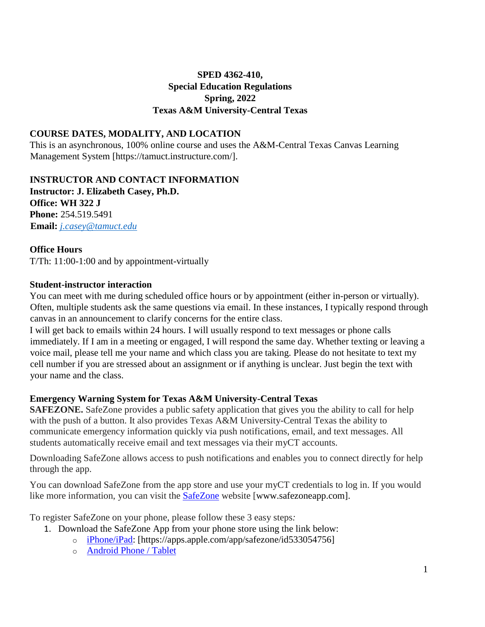# **SPED 4362-410, Special Education Regulations Spring, 2022 Texas A&M University-Central Texas**

### **COURSE DATES, MODALITY, AND LOCATION**

This is an asynchronous, 100% online course and uses the A&M-Central Texas Canvas Learning Management System [https://tamuct.instructure.com/].

#### **INSTRUCTOR AND CONTACT INFORMATION**

**Instructor: J. Elizabeth Casey, Ph.D. Office: WH 322 J Phone:** 254.519.5491 **Email:** *j.casey@tamuct.edu*

### **Office Hours**

T/Th: 11:00-1:00 and by appointment-virtually

### **Student-instructor interaction**

You can meet with me during scheduled office hours or by appointment (either in-person or virtually). Often, multiple students ask the same questions via email. In these instances, I typically respond through canvas in an announcement to clarify concerns for the entire class.

I will get back to emails within 24 hours. I will usually respond to text messages or phone calls immediately. If I am in a meeting or engaged, I will respond the same day. Whether texting or leaving a voice mail, please tell me your name and which class you are taking. Please do not hesitate to text my cell number if you are stressed about an assignment or if anything is unclear. Just begin the text with your name and the class.

#### **Emergency Warning System for Texas A&M University-Central Texas**

**SAFEZONE.** SafeZone provides a public safety application that gives you the ability to call for help with the push of a button. It also provides Texas A&M University-Central Texas the ability to communicate emergency information quickly via push notifications, email, and text messages. All students automatically receive email and text messages via their myCT accounts.

Downloading SafeZone allows access to push notifications and enables you to connect directly for help through the app.

You can download SafeZone from the app store and use your myCT credentials to log in. If you would like more information, you can visit the **[SafeZone](http://www.safezoneapp.com/)** website [www.safezoneapp.com].

To register SafeZone on your phone, please follow these 3 easy steps*:*

- 1. Download the SafeZone App from your phone store using the link below:
	- o [iPhone/iPad:](https://apps.apple.com/app/safezone/id533054756) [https://apps.apple.com/app/safezone/id533054756]
		- o [Android Phone / Tablet](https://play.google.com/store/apps/details?id=com.criticalarc.safezoneapp)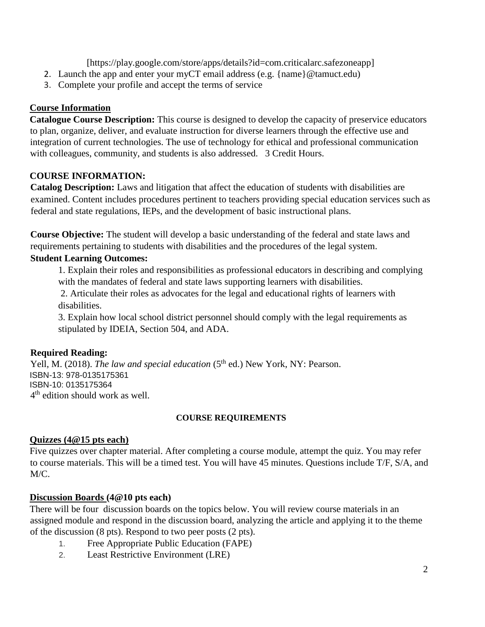[https://play.google.com/store/apps/details?id=com.criticalarc.safezoneapp]

- 2. Launch the app and enter your myCT email address (e.g. {name}@tamuct.edu)
- 3. Complete your profile and accept the terms of service

# **Course Information**

**Catalogue Course Description:** This course is designed to develop the capacity of preservice educators to plan, organize, deliver, and evaluate instruction for diverse learners through the effective use and integration of current technologies. The use of technology for ethical and professional communication with colleagues, community, and students is also addressed. 3 Credit Hours.

# **COURSE INFORMATION:**

**Catalog Description:** Laws and litigation that affect the education of students with disabilities are examined. Content includes procedures pertinent to teachers providing special education services such as federal and state regulations, IEPs, and the development of basic instructional plans.

**Course Objective:** The student will develop a basic understanding of the federal and state laws and requirements pertaining to students with disabilities and the procedures of the legal system.

## **Student Learning Outcomes:**

1. Explain their roles and responsibilities as professional educators in describing and complying with the mandates of federal and state laws supporting learners with disabilities.

2. Articulate their roles as advocates for the legal and educational rights of learners with disabilities.

3. Explain how local school district personnel should comply with the legal requirements as stipulated by IDEIA, Section 504, and ADA.

# **Required Reading:**

Yell, M. (2018). *The law and special education* (5<sup>th</sup> ed.) New York, NY: Pearson. ISBN-13: 978-0135175361 ISBN-10: 0135175364 4<sup>th</sup> edition should work as well.

# **COURSE REQUIREMENTS**

# **Quizzes (4@15 pts each)**

Five quizzes over chapter material. After completing a course module, attempt the quiz. You may refer to course materials. This will be a timed test. You will have 45 minutes. Questions include T/F, S/A, and M/C.

## **Discussion Boards (4@10 pts each)**

There will be four discussion boards on the topics below. You will review course materials in an assigned module and respond in the discussion board, analyzing the article and applying it to the theme of the discussion (8 pts). Respond to two peer posts (2 pts).

- 1. Free Appropriate Public Education (FAPE)
- 2. Least Restrictive Environment (LRE)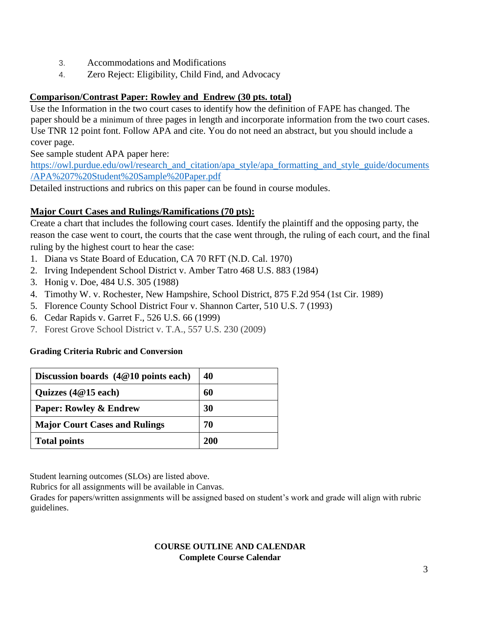- 3. Accommodations and Modifications
- 4. Zero Reject: Eligibility, Child Find, and Advocacy

## **Comparison/Contrast Paper: Rowley and Endrew (30 pts. total)**

Use the Information in the two court cases to identify how the definition of FAPE has changed. The paper should be a minimum of three pages in length and incorporate information from the two court cases. Use TNR 12 point font. Follow APA and cite. You do not need an abstract, but you should include a cover page.

See sample student APA paper here:

[https://owl.purdue.edu/owl/research\\_and\\_citation/apa\\_style/apa\\_formatting\\_and\\_style\\_guide/documents](https://owl.purdue.edu/owl/research_and_citation/apa_style/apa_formatting_and_style_guide/documents/APA%207%20Student%20Sample%20Paper.pdf) [/APA%207%20Student%20Sample%20Paper.pdf](https://owl.purdue.edu/owl/research_and_citation/apa_style/apa_formatting_and_style_guide/documents/APA%207%20Student%20Sample%20Paper.pdf)

Detailed instructions and rubrics on this paper can be found in course modules.

# **Major Court Cases and Rulings/Ramifications (70 pts):**

Create a chart that includes the following court cases. Identify the plaintiff and the opposing party, the reason the case went to court, the courts that the case went through, the ruling of each court, and the final ruling by the highest court to hear the case:

- 1. Diana vs State Board of Education, CA 70 RFT (N.D. Cal. 1970)
- 2. Irving Independent School District v. Amber Tatro 468 U.S. 883 (1984)
- 3. Honig v. Doe, 484 U.S. 305 (1988)
- 4. Timothy W. v. Rochester, New Hampshire, School District, 875 F.2d 954 (1st Cir. 1989)
- 5. Florence County School District Four v. Shannon Carter, 510 U.S. 7 (1993)
- 6. Cedar Rapids v. Garret F., 526 U.S. 66 (1999)
- 7. Forest Grove School District v. T.A., 557 U.S. 230 (2009)

## **Grading Criteria Rubric and Conversion**

| Discussion boards $(4@10$ points each) | 40  |
|----------------------------------------|-----|
| Quizzes $(4@15$ each)                  | 60  |
| <b>Paper: Rowley &amp; Endrew</b>      | 30  |
| <b>Major Court Cases and Rulings</b>   | 70  |
| <b>Total points</b>                    | 200 |

Student learning outcomes (SLOs) are listed above.

Rubrics for all assignments will be available in Canvas.

Grades for papers/written assignments will be assigned based on student's work and grade will align with rubric guidelines.

### **COURSE OUTLINE AND CALENDAR Complete Course Calendar**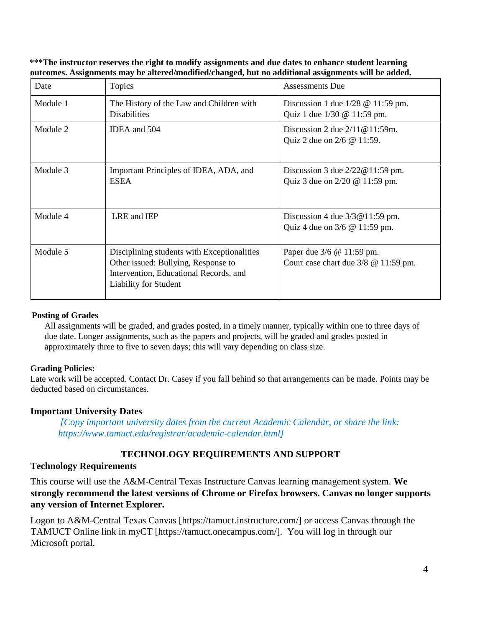**\*\*\*The instructor reserves the right to modify assignments and due dates to enhance student learning outcomes. Assignments may be altered/modified/changed, but no additional assignments will be added.** 

| Date     | Topics                                                                                                                                                       | <b>Assessments Due</b>                                                                                             |
|----------|--------------------------------------------------------------------------------------------------------------------------------------------------------------|--------------------------------------------------------------------------------------------------------------------|
| Module 1 | The History of the Law and Children with<br><b>Disabilities</b>                                                                                              | Discussion 1 due $1/28 \text{ } \textcircled{e}$ 11:59 pm.<br>Quiz 1 due $1/30 \text{ } \textcircled{e}$ 11:59 pm. |
| Module 2 | IDEA and 504                                                                                                                                                 | Discussion 2 due $2/11@11:59m$ .<br>Quiz 2 due on 2/6 @ 11:59.                                                     |
| Module 3 | Important Principles of IDEA, ADA, and<br><b>ESEA</b>                                                                                                        | Discussion 3 due $2/22@11:59$ pm.<br>Quiz 3 due on 2/20 @ 11:59 pm.                                                |
| Module 4 | LRE and IEP                                                                                                                                                  | Discussion 4 due $3/3@11:59$ pm.<br>Quiz 4 due on $3/6$ @ 11:59 pm.                                                |
| Module 5 | Disciplining students with Exceptionalities<br>Other issued: Bullying, Response to<br>Intervention, Educational Records, and<br><b>Liability for Student</b> | Paper due 3/6 @ 11:59 pm.<br>Court case chart due $3/8$ @ 11:59 pm.                                                |

#### **Posting of Grades**

All assignments will be graded, and grades posted, in a timely manner, typically within one to three days of due date. Longer assignments, such as the papers and projects, will be graded and grades posted in approximately three to five to seven days; this will vary depending on class size.

#### **Grading Policies:**

Late work will be accepted. Contact Dr. Casey if you fall behind so that arrangements can be made. Points may be deducted based on circumstances.

#### **Important University Dates**

*[Copy important university dates from the current Academic Calendar, or share the link: https://www.tamuct.edu/registrar/academic-calendar.html]*

## **TECHNOLOGY REQUIREMENTS AND SUPPORT**

#### **Technology Requirements**

This course will use the A&M-Central Texas Instructure Canvas learning management system. **We strongly recommend the latest versions of Chrome or Firefox browsers. Canvas no longer supports any version of Internet Explorer.**

Logon to A&M-Central Texas Canvas [https://tamuct.instructure.com/] or access Canvas through the TAMUCT Online link in myCT [https://tamuct.onecampus.com/]. You will log in through our Microsoft portal.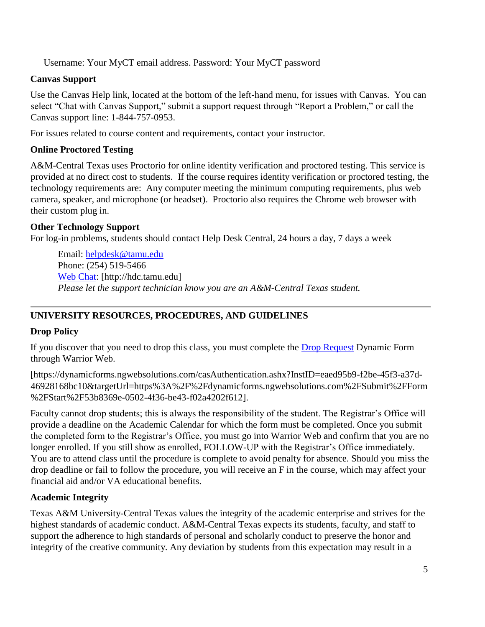Username: Your MyCT email address. Password: Your MyCT password

## **Canvas Support**

Use the Canvas Help link, located at the bottom of the left-hand menu, for issues with Canvas. You can select "Chat with Canvas Support," submit a support request through "Report a Problem," or call the Canvas support line: 1-844-757-0953.

For issues related to course content and requirements, contact your instructor.

## **Online Proctored Testing**

A&M-Central Texas uses Proctorio for online identity verification and proctored testing. This service is provided at no direct cost to students. If the course requires identity verification or proctored testing, the technology requirements are: Any computer meeting the minimum computing requirements, plus web camera, speaker, and microphone (or headset). Proctorio also requires the Chrome web browser with their custom plug in.

## **Other Technology Support**

For log-in problems, students should contact Help Desk Central, 24 hours a day, 7 days a week

Email: [helpdesk@tamu.edu](mailto:helpdesk@tamu.edu) Phone: (254) 519-5466 [Web Chat:](http://hdc.tamu.edu/) [http://hdc.tamu.edu] *Please let the support technician know you are an A&M-Central Texas student.*

# **UNIVERSITY RESOURCES, PROCEDURES, AND GUIDELINES**

# **Drop Policy**

If you discover that you need to drop this class, you must complete the [Drop Request](https://dynamicforms.ngwebsolutions.com/casAuthentication.ashx?InstID=eaed95b9-f2be-45f3-a37d-46928168bc10&targetUrl=https%3A%2F%2Fdynamicforms.ngwebsolutions.com%2FSubmit%2FForm%2FStart%2F53b8369e-0502-4f36-be43-f02a4202f612) Dynamic Form through Warrior Web.

[https://dynamicforms.ngwebsolutions.com/casAuthentication.ashx?InstID=eaed95b9-f2be-45f3-a37d-46928168bc10&targetUrl=https%3A%2F%2Fdynamicforms.ngwebsolutions.com%2FSubmit%2FForm %2FStart%2F53b8369e-0502-4f36-be43-f02a4202f612].

Faculty cannot drop students; this is always the responsibility of the student. The Registrar's Office will provide a deadline on the Academic Calendar for which the form must be completed. Once you submit the completed form to the Registrar's Office, you must go into Warrior Web and confirm that you are no longer enrolled. If you still show as enrolled, FOLLOW-UP with the Registrar's Office immediately. You are to attend class until the procedure is complete to avoid penalty for absence. Should you miss the drop deadline or fail to follow the procedure, you will receive an F in the course, which may affect your financial aid and/or VA educational benefits.

## **Academic Integrity**

Texas A&M University-Central Texas values the integrity of the academic enterprise and strives for the highest standards of academic conduct. A&M-Central Texas expects its students, faculty, and staff to support the adherence to high standards of personal and scholarly conduct to preserve the honor and integrity of the creative community. Any deviation by students from this expectation may result in a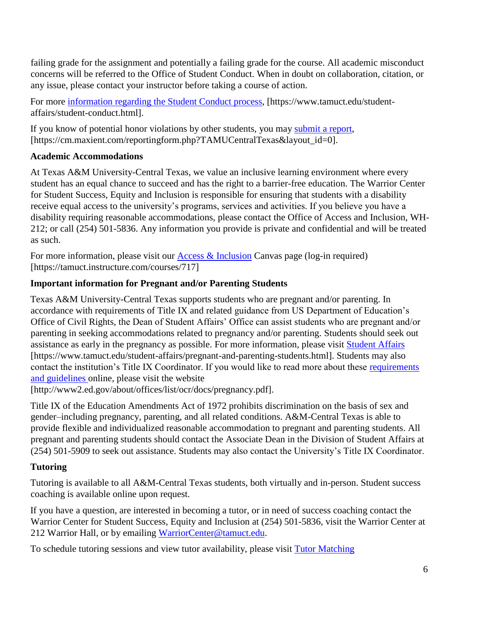failing grade for the assignment and potentially a failing grade for the course. All academic misconduct concerns will be referred to the Office of Student Conduct. When in doubt on collaboration, citation, or any issue, please contact your instructor before taking a course of action.

For more [information](https://nam04.safelinks.protection.outlook.com/?url=https%3A%2F%2Fwww.tamuct.edu%2Fstudent-affairs%2Fstudent-conduct.html&data=04%7C01%7Clisa.bunkowski%40tamuct.edu%7Ccfb6e486f24745f53e1a08d910055cb2%7C9eed4e3000f744849ff193ad8005acec%7C0%7C0%7C637558437485252160%7CUnknown%7CTWFpbGZsb3d8eyJWIjoiMC4wLjAwMDAiLCJQIjoiV2luMzIiLCJBTiI6Ik1haWwiLCJXVCI6Mn0%3D%7C1000&sdata=yjftDEVHvLX%2FhM%2FcFU0B99krV1RgEWR%2BJ%2BhvtoR6TYk%3D&reserved=0) regarding the Student Conduct process, [https://www.tamuct.edu/studentaffairs/student-conduct.html].

If you know of potential honor violations by other students, you may [submit](https://nam04.safelinks.protection.outlook.com/?url=https%3A%2F%2Fcm.maxient.com%2Freportingform.php%3FTAMUCentralTexas%26layout_id%3D0&data=04%7C01%7Clisa.bunkowski%40tamuct.edu%7Ccfb6e486f24745f53e1a08d910055cb2%7C9eed4e3000f744849ff193ad8005acec%7C0%7C0%7C637558437485262157%7CUnknown%7CTWFpbGZsb3d8eyJWIjoiMC4wLjAwMDAiLCJQIjoiV2luMzIiLCJBTiI6Ik1haWwiLCJXVCI6Mn0%3D%7C1000&sdata=CXGkOa6uPDPX1IMZ87z3aZDq2n91xfHKu4MMS43Ejjk%3D&reserved=0) a report, [https://cm.maxient.com/reportingform.php?TAMUCentralTexas&layout\_id=0].

# **Academic Accommodations**

At Texas A&M University-Central Texas, we value an inclusive learning environment where every student has an equal chance to succeed and has the right to a barrier-free education. The Warrior Center for Student Success, Equity and Inclusion is responsible for ensuring that students with a disability receive equal access to the university's programs, services and activities. If you believe you have a disability requiring reasonable accommodations, please contact the Office of Access and Inclusion, WH-212; or call (254) 501-5836. Any information you provide is private and confidential and will be treated as such.

For more information, please visit our Access  $\&$  Inclusion Canvas page (log-in required) [https://tamuct.instructure.com/courses/717]

# **Important information for Pregnant and/or Parenting Students**

Texas A&M University-Central Texas supports students who are pregnant and/or parenting. In accordance with requirements of Title IX and related guidance from US Department of Education's Office of Civil Rights, the Dean of Student Affairs' Office can assist students who are pregnant and/or parenting in seeking accommodations related to pregnancy and/or parenting. Students should seek out assistance as early in the pregnancy as possible. For more information, please visit [Student Affairs](https://www.tamuct.edu/student-affairs/pregnant-and-parenting-students.html) [https://www.tamuct.edu/student-affairs/pregnant-and-parenting-students.html]. Students may also contact the institution's Title IX Coordinator. If you would like to read more about these requirements [and guidelines](http://www2.ed.gov/about/offices/list/ocr/docs/pregnancy.pdf) online, please visit the website

[http://www2.ed.gov/about/offices/list/ocr/docs/pregnancy.pdf].

Title IX of the Education Amendments Act of 1972 prohibits discrimination on the basis of sex and gender–including pregnancy, parenting, and all related conditions. A&M-Central Texas is able to provide flexible and individualized reasonable accommodation to pregnant and parenting students. All pregnant and parenting students should contact the Associate Dean in the Division of Student Affairs at (254) 501-5909 to seek out assistance. Students may also contact the University's Title IX Coordinator.

# **Tutoring**

Tutoring is available to all A&M-Central Texas students, both virtually and in-person. Student success coaching is available online upon request.

If you have a question, are interested in becoming a tutor, or in need of success coaching contact the Warrior Center for Student Success, Equity and Inclusion at (254) 501-5836, visit the Warrior Center at 212 Warrior Hall, or by emailing [WarriorCenter@tamuct.edu.](mailto:WarriorCenter@tamuct.edu)

To schedule tutoring sessions and view tutor availability, please visit Tutor [Matching](https://tutormatchingservice.com/TAMUCT)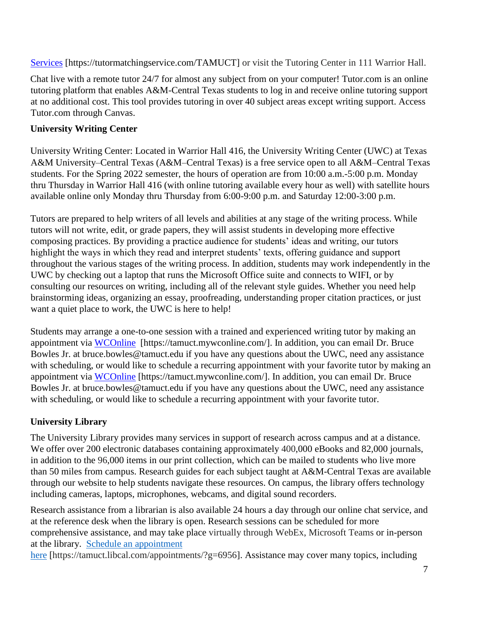[Services](https://tutormatchingservice.com/TAMUCT) [https://tutormatchingservice.com/TAMUCT] or visit the Tutoring Center in 111 Warrior Hall.

Chat live with a remote tutor 24/7 for almost any subject from on your computer! Tutor.com is an online tutoring platform that enables A&M-Central Texas students to log in and receive online tutoring support at no additional cost. This tool provides tutoring in over 40 subject areas except writing support. Access Tutor.com through Canvas.

# **University Writing Center**

University Writing Center: Located in Warrior Hall 416, the University Writing Center (UWC) at Texas A&M University–Central Texas (A&M–Central Texas) is a free service open to all A&M–Central Texas students. For the Spring 2022 semester, the hours of operation are from 10:00 a.m.-5:00 p.m. Monday thru Thursday in Warrior Hall 416 (with online tutoring available every hour as well) with satellite hours available online only Monday thru Thursday from 6:00-9:00 p.m. and Saturday 12:00-3:00 p.m.

Tutors are prepared to help writers of all levels and abilities at any stage of the writing process. While tutors will not write, edit, or grade papers, they will assist students in developing more effective composing practices. By providing a practice audience for students' ideas and writing, our tutors highlight the ways in which they read and interpret students' texts, offering guidance and support throughout the various stages of the writing process. In addition, students may work independently in the UWC by checking out a laptop that runs the Microsoft Office suite and connects to WIFI, or by consulting our resources on writing, including all of the relevant style guides. Whether you need help brainstorming ideas, organizing an essay, proofreading, understanding proper citation practices, or just want a quiet place to work, the UWC is here to help!

Students may arrange a one-to-one session with a trained and experienced writing tutor by making an appointment via [WCOnline](https://tamuct.mywconline.com/) [https://tamuct.mywconline.com/]. In addition, you can email Dr. Bruce Bowles Jr. at bruce.bowles@tamuct.edu if you have any questions about the UWC, need any assistance with scheduling, or would like to schedule a recurring appointment with your favorite tutor by making an appointment via [WCOnline](https://tamuct.mywconline.com/) [https://tamuct.mywconline.com/]. In addition, you can email Dr. Bruce Bowles Jr. at bruce.bowles@tamuct.edu if you have any questions about the UWC, need any assistance with scheduling, or would like to schedule a recurring appointment with your favorite tutor.

# **University Library**

The University Library provides many services in support of research across campus and at a distance. We offer over 200 electronic databases containing approximately 400,000 eBooks and 82,000 journals, in addition to the 96,000 items in our print collection, which can be mailed to students who live more than 50 miles from campus. Research guides for each subject taught at A&M-Central Texas are available through our website to help students navigate these resources. On campus, the library offers technology including cameras, laptops, microphones, webcams, and digital sound recorders.

Research assistance from a librarian is also available 24 hours a day through our online chat service, and at the reference desk when the library is open. Research sessions can be scheduled for more comprehensive assistance, and may take place virtually through WebEx, Microsoft Teams or in-person at the library. Schedule an [appointment](https://nam04.safelinks.protection.outlook.com/?url=https%3A%2F%2Ftamuct.libcal.com%2Fappointments%2F%3Fg%3D6956&data=04%7C01%7Clisa.bunkowski%40tamuct.edu%7Cde2c07d9f5804f09518008d9ab7ba6ff%7C9eed4e3000f744849ff193ad8005acec%7C0%7C0%7C637729369835011558%7CUnknown%7CTWFpbGZsb3d8eyJWIjoiMC4wLjAwMDAiLCJQIjoiV2luMzIiLCJBTiI6Ik1haWwiLCJXVCI6Mn0%3D%7C3000&sdata=KhtjgRSAw9aq%2FoBsB6wyu8b7PSuGN5EGPypzr3Ty2No%3D&reserved=0)

[here](https://nam04.safelinks.protection.outlook.com/?url=https%3A%2F%2Ftamuct.libcal.com%2Fappointments%2F%3Fg%3D6956&data=04%7C01%7Clisa.bunkowski%40tamuct.edu%7Cde2c07d9f5804f09518008d9ab7ba6ff%7C9eed4e3000f744849ff193ad8005acec%7C0%7C0%7C637729369835011558%7CUnknown%7CTWFpbGZsb3d8eyJWIjoiMC4wLjAwMDAiLCJQIjoiV2luMzIiLCJBTiI6Ik1haWwiLCJXVCI6Mn0%3D%7C3000&sdata=KhtjgRSAw9aq%2FoBsB6wyu8b7PSuGN5EGPypzr3Ty2No%3D&reserved=0) [https://tamuct.libcal.com/appointments/?g=6956]. Assistance may cover many topics, including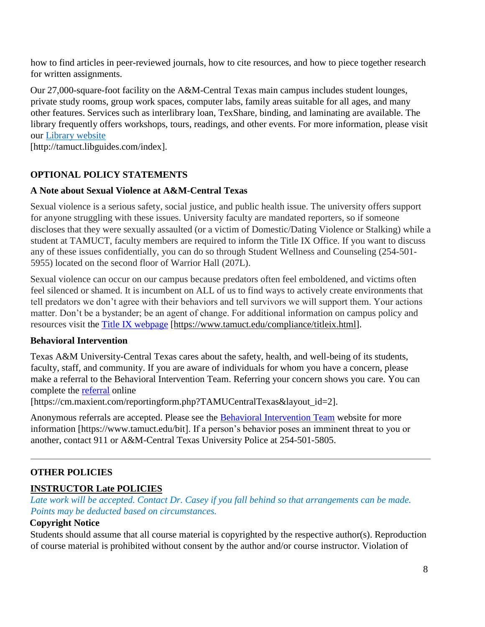how to find articles in peer-reviewed journals, how to cite resources, and how to piece together research for written assignments.

Our 27,000-square-foot facility on the A&M-Central Texas main campus includes student lounges, private study rooms, group work spaces, computer labs, family areas suitable for all ages, and many other features. Services such as interlibrary loan, TexShare, binding, and laminating are available. The library frequently offers workshops, tours, readings, and other events. For more information, please visit our Library [website](https://nam04.safelinks.protection.outlook.com/?url=https%3A%2F%2Ftamuct.libguides.com%2Findex&data=04%7C01%7Clisa.bunkowski%40tamuct.edu%7C7d8489e8839a4915335f08d916f067f2%7C9eed4e3000f744849ff193ad8005acec%7C0%7C0%7C637566044056484222%7CUnknown%7CTWFpbGZsb3d8eyJWIjoiMC4wLjAwMDAiLCJQIjoiV2luMzIiLCJBTiI6Ik1haWwiLCJXVCI6Mn0%3D%7C1000&sdata=2R755V6rcIyedGrd4Os5rkgn1PvhHKU3kUV1vBKiHFo%3D&reserved=0)

[http://tamuct.libguides.com/index].

# **OPTIONAL POLICY STATEMENTS**

## **A Note about Sexual Violence at A&M-Central Texas**

Sexual violence is a serious safety, social justice, and public health issue. The university offers support for anyone struggling with these issues. University faculty are mandated reporters, so if someone discloses that they were sexually assaulted (or a victim of Domestic/Dating Violence or Stalking) while a student at TAMUCT, faculty members are required to inform the Title IX Office. If you want to discuss any of these issues confidentially, you can do so through Student Wellness and Counseling (254-501- 5955) located on the second floor of Warrior Hall (207L).

Sexual violence can occur on our campus because predators often feel emboldened, and victims often feel silenced or shamed. It is incumbent on ALL of us to find ways to actively create environments that tell predators we don't agree with their behaviors and tell survivors we will support them. Your actions matter. Don't be a bystander; be an agent of change. For additional information on campus policy and resources visit the [Title IX webpage](https://www.tamuct.edu/compliance/titleix.html) [\[https://www.tamuct.edu/compliance/titleix.html\]](https://www.tamuct.edu/compliance/titleix.html).

## **Behavioral Intervention**

Texas A&M University-Central Texas cares about the safety, health, and well-being of its students, faculty, staff, and community. If you are aware of individuals for whom you have a concern, please make a referral to the Behavioral Intervention Team. Referring your concern shows you care. You can complete the [referral](https://cm.maxient.com/reportingform.php?TAMUCentralTexas&layout_id=2) online

[https://cm.maxient.com/reportingform.php?TAMUCentralTexas&layout\_id=2].

Anonymous referrals are accepted. Please see the **Behavioral Intervention Team** website for more information [https://www.tamuct.edu/bit]. If a person's behavior poses an imminent threat to you or another, contact 911 or A&M-Central Texas University Police at 254-501-5805.

# **OTHER POLICIES**

# **INSTRUCTOR Late POLICIES**

*Late work will be accepted. Contact Dr. Casey if you fall behind so that arrangements can be made. Points may be deducted based on circumstances.*

# **Copyright Notice**

Students should assume that all course material is copyrighted by the respective author(s). Reproduction of course material is prohibited without consent by the author and/or course instructor. Violation of